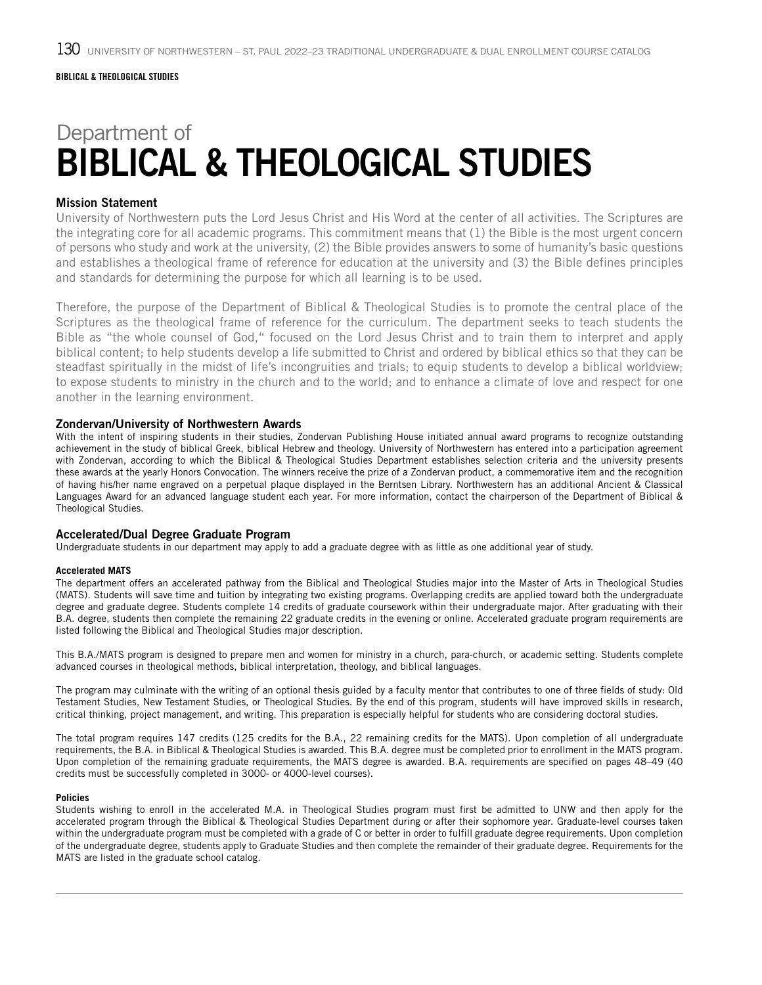## Department of BIBLICAL & THEOLOGICAL STUDIES

#### Mission Statement

University of Northwestern puts the Lord Jesus Christ and His Word at the center of all activities. The Scriptures are the integrating core for all academic programs. This commitment means that (1) the Bible is the most urgent concern of persons who study and work at the university, (2) the Bible provides answers to some of humanity's basic questions and establishes a theological frame of reference for education at the university and (3) the Bible defines principles and standards for determining the purpose for which all learning is to be used.

Therefore, the purpose of the Department of Biblical & Theological Studies is to promote the central place of the Scriptures as the theological frame of reference for the curriculum. The department seeks to teach students the Bible as "the whole counsel of God," focused on the Lord Jesus Christ and to train them to interpret and apply biblical content; to help students develop a life submitted to Christ and ordered by biblical ethics so that they can be steadfast spiritually in the midst of life's incongruities and trials; to equip students to develop a biblical worldview; to expose students to ministry in the church and to the world; and to enhance a climate of love and respect for one another in the learning environment.

#### Zondervan/University of Northwestern Awards

With the intent of inspiring students in their studies, Zondervan Publishing House initiated annual award programs to recognize outstanding achievement in the study of biblical Greek, biblical Hebrew and theology. University of Northwestern has entered into a participation agreement with Zondervan, according to which the Biblical & Theological Studies Department establishes selection criteria and the university presents these awards at the yearly Honors Convocation. The winners receive the prize of a Zondervan product, a commemorative item and the recognition of having his/her name engraved on a perpetual plaque displayed in the Berntsen Library. Northwestern has an additional Ancient & Classical Languages Award for an advanced language student each year. For more information, contact the chairperson of the Department of Biblical & Theological Studies.

#### Accelerated/Dual Degree Graduate Program

Undergraduate students in our department may apply to add a graduate degree with as little as one additional year of study.

#### **Accelerated MATS**

The department offers an accelerated pathway from the Biblical and Theological Studies major into the Master of Arts in Theological Studies (MATS). Students will save time and tuition by integrating two existing programs. Overlapping credits are applied toward both the undergraduate degree and graduate degree. Students complete 14 credits of graduate coursework within their undergraduate major. After graduating with their B.A. degree, students then complete the remaining 22 graduate credits in the evening or online. Accelerated graduate program requirements are listed following the Biblical and Theological Studies major description.

This B.A./MATS program is designed to prepare men and women for ministry in a church, para-church, or academic setting. Students complete advanced courses in theological methods, biblical interpretation, theology, and biblical languages.

The program may culminate with the writing of an optional thesis guided by a faculty mentor that contributes to one of three fields of study: Old Testament Studies, New Testament Studies, or Theological Studies. By the end of this program, students will have improved skills in research, critical thinking, project management, and writing. This preparation is especially helpful for students who are considering doctoral studies.

The total program requires 147 credits (125 credits for the B.A., 22 remaining credits for the MATS). Upon completion of all undergraduate requirements, the B.A. in Biblical & Theological Studies is awarded. This B.A. degree must be completed prior to enrollment in the MATS program. Upon completion of the remaining graduate requirements, the MATS degree is awarded. B.A. requirements are specified on pages 48–49 (40 credits must be successfully completed in 3000- or 4000-level courses).

#### **Policies**

Students wishing to enroll in the accelerated M.A. in Theological Studies program must first be admitted to UNW and then apply for the accelerated program through the Biblical & Theological Studies Department during or after their sophomore year. Graduate-level courses taken within the undergraduate program must be completed with a grade of C or better in order to fulfill graduate degree requirements. Upon completion of the undergraduate degree, students apply to Graduate Studies and then complete the remainder of their graduate degree. Requirements for the MATS are listed in the graduate school catalog.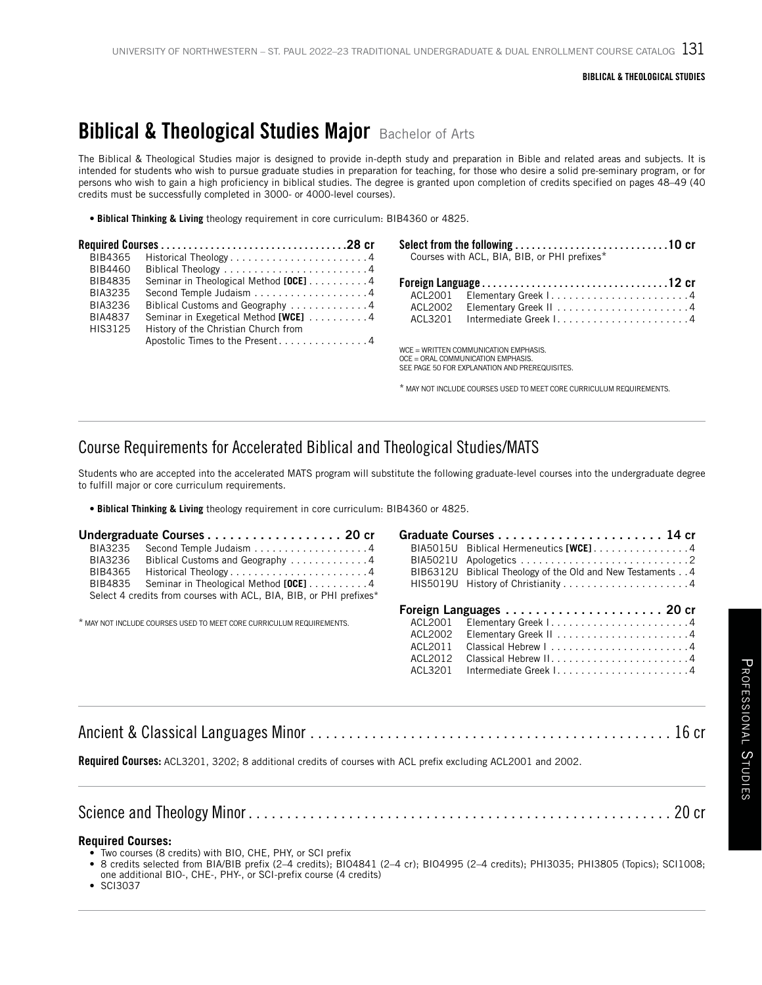## **Biblical & Theological Studies Major Bachelor of Arts**

The Biblical & Theological Studies major is designed to provide in-depth study and preparation in Bible and related areas and subjects. It is intended for students who wish to pursue graduate studies in preparation for teaching, for those who desire a solid pre-seminary program, or for persons who wish to gain a high proficiency in biblical studies. The degree is granted upon completion of credits specified on pages 48–49 (40 credits must be successfully completed in 3000- or 4000-level courses).

**• Biblical Thinking & Living** theology requirement in core curriculum: BIB4360 or 4825.

| BIB4365 | Historical Theology4                  | Courses with ACL, BIA, BIB, or PHI prefixes*                                                                                    |  |
|---------|---------------------------------------|---------------------------------------------------------------------------------------------------------------------------------|--|
| BIB4460 |                                       |                                                                                                                                 |  |
| BIB4835 | Seminar in Theological Method [OCE] 4 |                                                                                                                                 |  |
| BIA3235 |                                       | ACL2001                                                                                                                         |  |
| BIA3236 | Biblical Customs and Geography 4      |                                                                                                                                 |  |
| BIA4837 | Seminar in Exegetical Method [WCE] 4  | ACL3201                                                                                                                         |  |
| HIS3125 | History of the Christian Church from  |                                                                                                                                 |  |
|         | Apostolic Times to the Present4       | $WCE = WRITTEN COMMUNICATION EMPHASIS.$<br>OCE = ORAL COMMUNICATION EMPHASIS.<br>SEE PAGE 50 FOR EXPLANATION AND PREREQUISITES. |  |
|         |                                       | * MAY NOT INCLUDE COURSES LISED TO MEET CORE CURRICULUM REQUIREMENTS.                                                           |  |

### Course Requirements for Accelerated Biblical and Theological Studies/MATS

Students who are accepted into the accelerated MATS program will substitute the following graduate-level courses into the undergraduate degree to fulfill major or core curriculum requirements.

**• Biblical Thinking & Living** theology requirement in core curriculum: BIB4360 or 4825.

| BIA3235<br>BIA3236<br>BIB4365<br>BIB4835                             | Second Temple Judaism 4<br>Biblical Customs and Geography 4<br>Historical Theology4<br>Seminar in Theological Method [OCE] 4<br>Select 4 credits from courses with ACL, BIA, BIB, or PHI prefixes* |                                                     | BIA5015U Biblical Hermeneutics [WCE]4<br>BIB6312U Biblical Theology of the Old and New Testaments 4<br>HIS5019U History of Christianity 4 |
|----------------------------------------------------------------------|----------------------------------------------------------------------------------------------------------------------------------------------------------------------------------------------------|-----------------------------------------------------|-------------------------------------------------------------------------------------------------------------------------------------------|
| * MAY NOT INCLUDE COURSES USED TO MEET CORE CURRICULUM REQUIREMENTS. |                                                                                                                                                                                                    | ACL2001<br>ACL2002<br>ACL2011<br>ACL2012<br>ACL3201 |                                                                                                                                           |
|                                                                      |                                                                                                                                                                                                    |                                                     |                                                                                                                                           |

**Required Courses:** ACL3201, 3202; 8 additional credits of courses with ACL prefix excluding ACL2001 and 2002.

#### **Required Courses:**

• Two courses (8 credits) with BIO, CHE, PHY, or SCI prefix

• 8 credits selected from BIA/BIB prefix (2–4 credits); BIO4841 (2–4 cr); BIO4995 (2–4 credits); PHI3035; PHI3805 (Topics); SCI1008; one additional BIO-, CHE-, PHY-, or SCI-prefix course (4 credits)

• SCI3037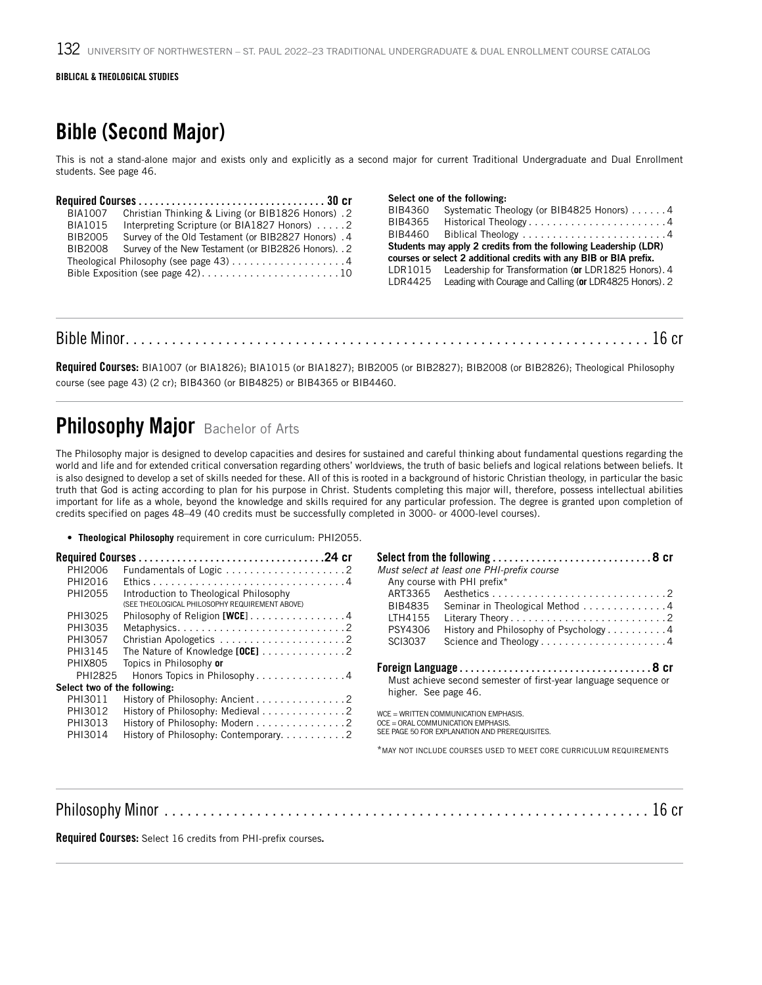#### BIBLICAL & THEOLOGICAL STUDIES

## Bible (Second Major)

This is not a stand-alone major and exists only and explicitly as a second major for current Traditional Undergraduate and Dual Enrollment students. See page 46.

|                               |                                                                                                                                                           | Select one of the following: |                                                                                                                                        |
|-------------------------------|-----------------------------------------------------------------------------------------------------------------------------------------------------------|------------------------------|----------------------------------------------------------------------------------------------------------------------------------------|
| BIA1007<br>BIA1015<br>BIB2005 | Christian Thinking & Living (or BIB1826 Honors). 2<br>Interpreting Scripture (or BIA1827 Honors) 2<br>Survey of the Old Testament (or BIB2827 Honors) . 4 | BIB4360                      | Systematic Theology (or BIB4825 Honors) 4<br>BIB4365 Historical Theology4<br>$BIB4460$ Biblical Theology 4                             |
| BIB2008                       | Survey of the New Testament (or BIB2826 Honors). . 2<br>Theological Philosophy (see page $43)$ 4                                                          |                              | Students may apply 2 credits from the following Leadership (LDR)<br>courses or select 2 additional credits with any BIB or BIA prefix. |
|                               | Bible Exposition (see page $42)$ 10                                                                                                                       | LDR4425                      | LDR1015 Leadership for Transformation (or LDR1825 Honors). 4<br>Leading with Courage and Calling (or LDR4825 Honors). 2                |

#### Bible Minor . . . . . . . . . . . . . . . . . . . . . . . . . . . . . . . . . . . . . . . . . . . . . . . . . . . . . . . . . . . . . . . . . . . . 16 cr

Required Courses: BIA1007 (or BIA1826); BIA1015 (or BIA1827); BIB2005 (or BIB2827); BIB2008 (or BIB2826); Theological Philosophy course (see page 43) (2 cr); BIB4360 (or BIB4825) or BIB4365 or BIB4460.

## Philosophy Major Bachelor of Arts

The Philosophy major is designed to develop capacities and desires for sustained and careful thinking about fundamental questions regarding the world and life and for extended critical conversation regarding others' worldviews, the truth of basic beliefs and logical relations between beliefs. It is also designed to develop a set of skills needed for these. All of this is rooted in a background of historic Christian theology, in particular the basic truth that God is acting according to plan for his purpose in Christ. Students completing this major will, therefore, possess intellectual abilities important for life as a whole, beyond the knowledge and skills required for any particular profession. The degree is granted upon completion of credits specified on pages 48–49 (40 credits must be successfully completed in 3000- or 4000-level courses).

• **Theological Philosophy** requirement in core curriculum: PHI2055.

| PHI2006                      |                                                |                      | Must select at least one PHI-prefix course                         |
|------------------------------|------------------------------------------------|----------------------|--------------------------------------------------------------------|
| PHI2016                      |                                                |                      | Any course with PHI prefix*                                        |
| PHI2055                      | Introduction to Theological Philosophy         | ART3365              |                                                                    |
|                              | (SEE THEOLOGICAL PHILOSOPHY REQUIREMENT ABOVE) | BIB4835              | Seminar in Theological Method 4                                    |
| PHI3025                      | Philosophy of Religion [WCE] 4                 | LTH4155              |                                                                    |
| PHI3035                      |                                                | PSY4306              | History and Philosophy of Psychology 4                             |
| PHI3057                      |                                                | <b>SCI3037</b>       | Science and Theology4                                              |
| PHI3145                      | The Nature of Knowledge [OCE] 2                |                      |                                                                    |
| <b>PHIX805</b>               | Topics in Philosophy or                        |                      |                                                                    |
| PHI2825                      | Honors Topics in Philosophy4                   |                      | Must achieve second semester of first-year language sequence or    |
| Select two of the following: |                                                | higher. See page 46. |                                                                    |
| PHI3011                      | History of Philosophy: Ancient 2               |                      |                                                                    |
| PHI3012                      | History of Philosophy: Medieval 2              |                      | $WCE = WRITTEN COMMUNICATION EMPHASIS.$                            |
| PHI3013                      | History of Philosophy: Modern 2                |                      | OCE = ORAL COMMUNICATION EMPHASIS.                                 |
| PHI3014                      | History of Philosophy: Contemporary2           |                      | SEE PAGE 50 FOR EXPLANATION AND PREREQUISITES.                     |
|                              |                                                |                      | *MAY NOT INCLUDE COURSES USED TO MEET CORE CURRICULUM REQUIREMENTS |

Philosophy Minor . . . . . . . . . . . . . . . . . . . . . . . . . . . . . . . . . . . . . . . . . . . . . . . . . . . . . . . . . . . . . . . 16 cr

Required Courses: Select 16 credits from PHI-prefix courses.